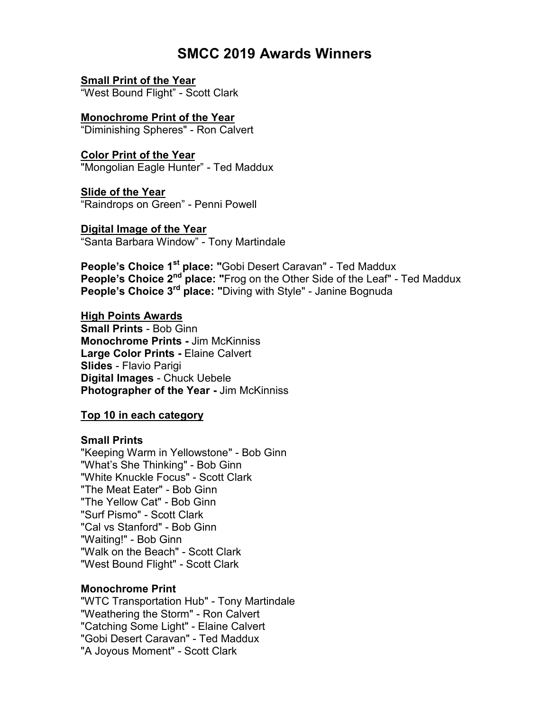# **SMCC 2019 Awards Winners**

**Small Print of the Year** "West Bound Flight" - Scott Clark

**Monochrome Print of the Year** "Diminishing Spheres" - Ron Calvert

**Color Print of the Year** "Mongolian Eagle Hunter" - Ted Maddux

**Slide of the Year** "Raindrops on Green" - Penni Powell

**Digital Image of the Year** "Santa Barbara Window" - Tony Martindale

**People's Choice 1 st place: "**Gobi Desert Caravan" - Ted Maddux **People's Choice 2<sup>nd</sup> place: "Frog on the Other Side of the Leaf" - Ted Maddux People's Choice 3<sup>rd</sup> place: "**Diving with Style" - Janine Bognuda

**High Points Awards Small Prints** - Bob Ginn **Monochrome Prints -** Jim McKinniss **Large Color Prints -** Elaine Calvert **Slides** - Flavio Parigi **Digital Images** - Chuck Uebele **Photographer of the Year -** Jim McKinniss

**Top 10 in each category**

### **Small Prints**

"Keeping Warm in Yellowstone" - Bob Ginn "What's She Thinking" - Bob Ginn "White Knuckle Focus" - Scott Clark "The Meat Eater" - Bob Ginn "The Yellow Cat" - Bob Ginn "Surf Pismo" - Scott Clark "Cal vs Stanford" - Bob Ginn "Waiting!" - Bob Ginn "Walk on the Beach" - Scott Clark "West Bound Flight" - Scott Clark

# **Monochrome Print**

"WTC Transportation Hub" - Tony Martindale "Weathering the Storm" - Ron Calvert "Catching Some Light" - Elaine Calvert "Gobi Desert Caravan" - Ted Maddux "A Joyous Moment" - Scott Clark